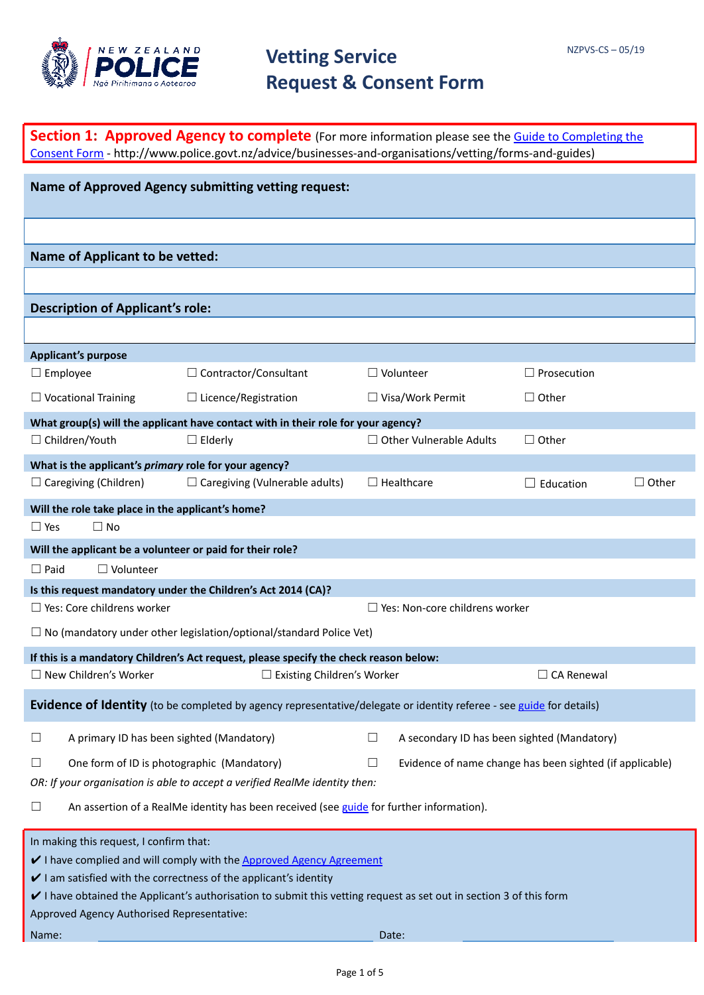

| <b>Section 1: Approved Agency to complete</b> (For more information please see the Guide to Completing the<br>Consent Form - http://www.police.govt.nz/advice/businesses-and-organisations/vetting/forms-and-guides) |                                                                                                                                                                                                                                                                          |                                                       |                    |              |
|----------------------------------------------------------------------------------------------------------------------------------------------------------------------------------------------------------------------|--------------------------------------------------------------------------------------------------------------------------------------------------------------------------------------------------------------------------------------------------------------------------|-------------------------------------------------------|--------------------|--------------|
|                                                                                                                                                                                                                      |                                                                                                                                                                                                                                                                          |                                                       |                    |              |
|                                                                                                                                                                                                                      | <b>Name of Approved Agency submitting vetting request:</b>                                                                                                                                                                                                               |                                                       |                    |              |
|                                                                                                                                                                                                                      |                                                                                                                                                                                                                                                                          |                                                       |                    |              |
| <b>Name of Applicant to be vetted:</b>                                                                                                                                                                               |                                                                                                                                                                                                                                                                          |                                                       |                    |              |
|                                                                                                                                                                                                                      |                                                                                                                                                                                                                                                                          |                                                       |                    |              |
| <b>Description of Applicant's role:</b>                                                                                                                                                                              |                                                                                                                                                                                                                                                                          |                                                       |                    |              |
|                                                                                                                                                                                                                      |                                                                                                                                                                                                                                                                          |                                                       |                    |              |
| <b>Applicant's purpose</b><br>$\Box$ Employee                                                                                                                                                                        | $\Box$ Contractor/Consultant                                                                                                                                                                                                                                             | $\Box$ Volunteer                                      | $\Box$ Prosecution |              |
| $\Box$ Vocational Training                                                                                                                                                                                           | $\Box$ Licence/Registration                                                                                                                                                                                                                                              | $\Box$ Visa/Work Permit                               | $\Box$ Other       |              |
|                                                                                                                                                                                                                      | What group(s) will the applicant have contact with in their role for your agency?                                                                                                                                                                                        |                                                       |                    |              |
| □ Children/Youth                                                                                                                                                                                                     | $\Box$ Elderly                                                                                                                                                                                                                                                           | $\Box$ Other Vulnerable Adults                        | $\Box$ Other       |              |
| What is the applicant's primary role for your agency?                                                                                                                                                                |                                                                                                                                                                                                                                                                          |                                                       |                    |              |
| $\Box$ Caregiving (Children)                                                                                                                                                                                         | $\Box$ Caregiving (Vulnerable adults)                                                                                                                                                                                                                                    | $\Box$ Healthcare                                     | $\Box$ Education   | $\Box$ Other |
| Will the role take place in the applicant's home?                                                                                                                                                                    |                                                                                                                                                                                                                                                                          |                                                       |                    |              |
| $\Box$ No<br>$\Box$ Yes                                                                                                                                                                                              |                                                                                                                                                                                                                                                                          |                                                       |                    |              |
| Will the applicant be a volunteer or paid for their role?                                                                                                                                                            |                                                                                                                                                                                                                                                                          |                                                       |                    |              |
| $\Box$ Volunteer<br>$\Box$ Paid                                                                                                                                                                                      |                                                                                                                                                                                                                                                                          |                                                       |                    |              |
|                                                                                                                                                                                                                      | Is this request mandatory under the Children's Act 2014 (CA)?                                                                                                                                                                                                            |                                                       |                    |              |
| $\Box$ Yes: Core childrens worker                                                                                                                                                                                    |                                                                                                                                                                                                                                                                          | $\Box$ Yes: Non-core childrens worker                 |                    |              |
|                                                                                                                                                                                                                      | $\Box$ No (mandatory under other legislation/optional/standard Police Vet)                                                                                                                                                                                               |                                                       |                    |              |
|                                                                                                                                                                                                                      | If this is a mandatory Children's Act request, please specify the check reason below:                                                                                                                                                                                    |                                                       |                    |              |
| □ New Children's Worker                                                                                                                                                                                              | □ Existing Children's Worker<br>$\Box$ CA Renewal                                                                                                                                                                                                                        |                                                       |                    |              |
| Evidence of Identity (to be completed by agency representative/delegate or identity referee - see guide for details)                                                                                                 |                                                                                                                                                                                                                                                                          |                                                       |                    |              |
| A primary ID has been sighted (Mandatory)<br>$\Box$                                                                                                                                                                  |                                                                                                                                                                                                                                                                          | $\Box$<br>A secondary ID has been sighted (Mandatory) |                    |              |
| One form of ID is photographic (Mandatory)<br>Evidence of name change has been sighted (if applicable)<br>⊔<br>Ш<br>OR: If your organisation is able to accept a verified RealMe identity then:                      |                                                                                                                                                                                                                                                                          |                                                       |                    |              |
| An assertion of a RealMe identity has been received (see guide for further information).<br>$\Box$                                                                                                                   |                                                                                                                                                                                                                                                                          |                                                       |                    |              |
| In making this request, I confirm that:<br>Approved Agency Authorised Representative:<br>Name:                                                                                                                       | I have complied and will comply with the Approved Agency Agreement<br>$\vee$ I am satisfied with the correctness of the applicant's identity<br>$\vee$ I have obtained the Applicant's authorisation to submit this vetting request as set out in section 3 of this form | Date:                                                 |                    |              |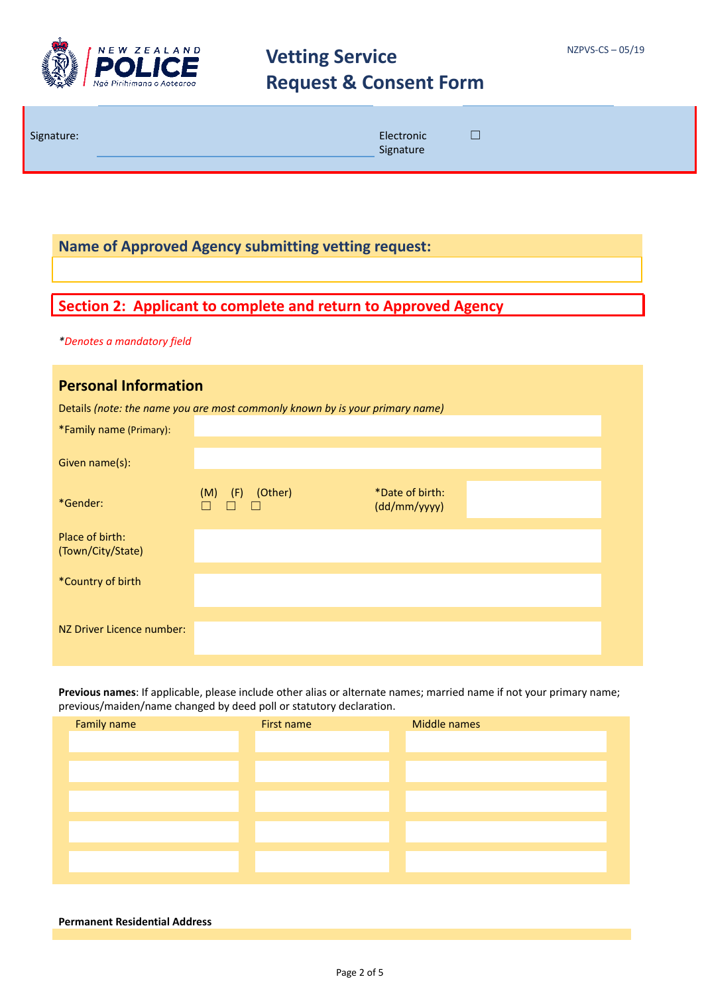

**Name of Approved Agency submitting vetting request:**

### **Section 2: Applicant to complete and return to Approved Agency**

*\*Denotes a mandatory field*

| <b>Personal Information</b>          |                                                                              |                                 |  |  |
|--------------------------------------|------------------------------------------------------------------------------|---------------------------------|--|--|
|                                      | Details (note: the name you are most commonly known by is your primary name) |                                 |  |  |
| *Family name (Primary):              |                                                                              |                                 |  |  |
| Given name(s):                       |                                                                              |                                 |  |  |
| *Gender:                             | (Other)<br>$(M)$ $(F)$                                                       | *Date of birth:<br>(dd/mm/yyyy) |  |  |
| Place of birth:<br>(Town/City/State) |                                                                              |                                 |  |  |
| *Country of birth                    |                                                                              |                                 |  |  |
| NZ Driver Licence number:            |                                                                              |                                 |  |  |

**Previous names**: If applicable, please include other alias or alternate names; married name if not your primary name; previous/maiden/name changed by deed poll or statutory declaration.

| Family name | First name | Middle names |
|-------------|------------|--------------|
|             |            |              |
|             |            |              |
|             |            |              |
|             |            |              |
|             |            |              |
|             |            |              |
|             |            |              |
|             |            |              |
|             |            |              |

#### **Permanent Residential Address**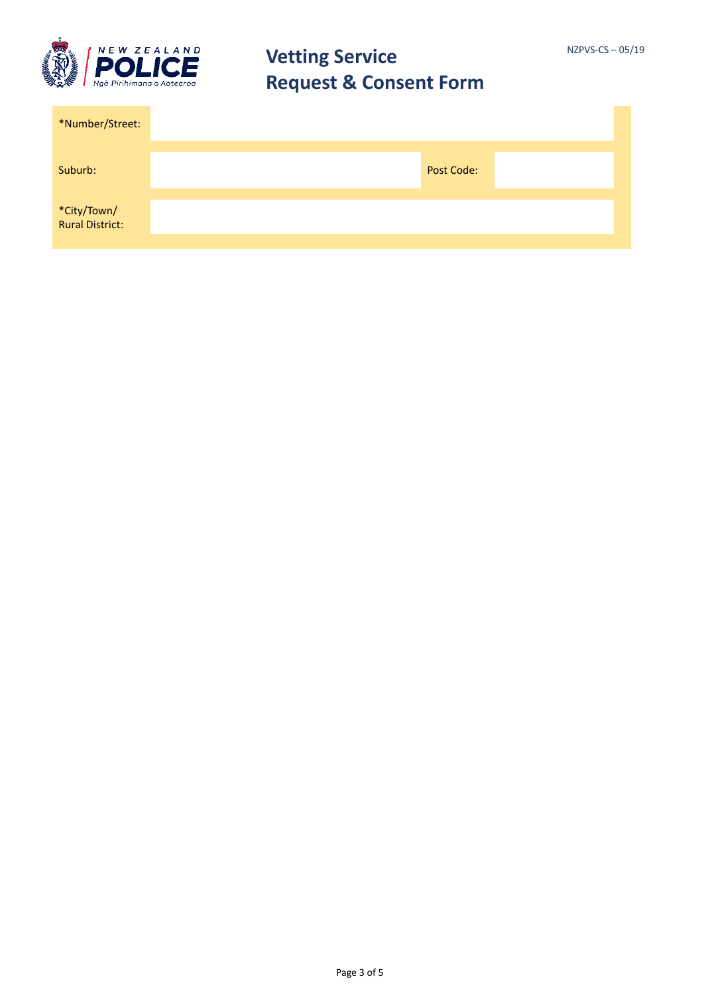

| *Number/Street:                |            |  |
|--------------------------------|------------|--|
| Suburb:                        | Post Code: |  |
| *City/Town/<br>Rural District: |            |  |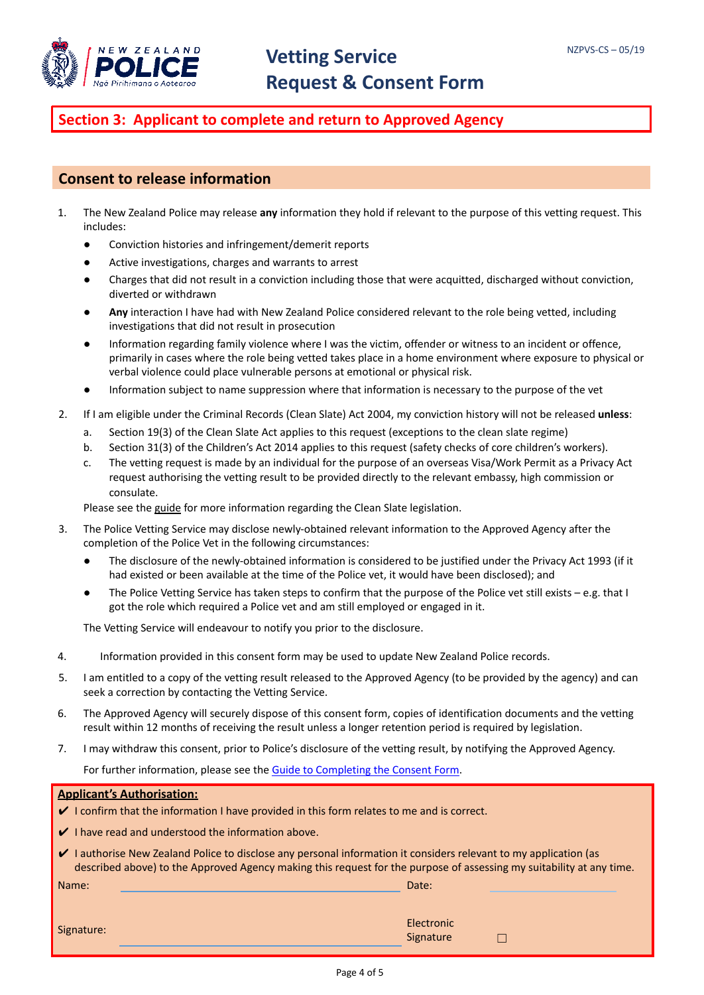

### **Section 3: Applicant to complete and return to Approved Agency**

#### **Consent to release information**

- 1. The New Zealand Police may release **any** information they hold if relevant to the purpose of this vetting request. This includes:
	- Conviction histories and infringement/demerit reports
	- Active investigations, charges and warrants to arrest
	- Charges that did not result in a conviction including those that were acquitted, discharged without conviction, diverted or withdrawn
	- **Any** interaction I have had with New Zealand Police considered relevant to the role being vetted, including investigations that did not result in prosecution
	- Information regarding family violence where I was the victim, offender or witness to an incident or offence, primarily in cases where the role being vetted takes place in a home environment where exposure to physical or verbal violence could place vulnerable persons at emotional or physical risk.
	- Information subject to name suppression where that information is necessary to the purpose of the vet
- 2. If I am eligible under the Criminal Records (Clean Slate) Act 2004, my conviction history will not be released **unless**:
	- a. Section 19(3) of the Clean Slate Act applies to this request (exceptions to the clean slate regime)
	- b. Section 31(3) of the Children's Act 2014 applies to this request (safety checks of core children's workers).
	- c. The vetting request is made by an individual for the purpose of an overseas Visa/Work Permit as a Privacy Act request authorising the vetting result to be provided directly to the relevant embassy, high commission or consulate.

Please see the [guide](http://www.police.govt.nz/sites/default/files/publications/user-guide-to-pvs-vetting-request-consent-form.pdf) for more information regarding the Clean Slate legislation.

- 3. The Police Vetting Service may disclose newly-obtained relevant information to the Approved Agency after the completion of the Police Vet in the following circumstances:
	- The disclosure of the newly-obtained information is considered to be justified under the Privacy Act 1993 (if it had existed or been available at the time of the Police vet, it would have been disclosed); and
	- The Police Vetting Service has taken steps to confirm that the purpose of the Police vet still exists e.g. that I got the role which required a Police vet and am still employed or engaged in it.

The Vetting Service will endeavour to notify you prior to the disclosure.

- 4. Information provided in this consent form may be used to update New Zealand Police records.
- 5. I am entitled to a copy of the vetting result released to the Approved Agency (to be provided by the agency) and can seek a correction by contacting the Vetting Service.
- 6. The Approved Agency will securely dispose of this consent form, copies of identification documents and the vetting result within 12 months of receiving the result unless a longer retention period is required by legislation.
- 7. I may withdraw this consent, prior to Police's disclosure of the vetting result, by notifying the Approved Agency.

For further information, please see the Guide to [Completing](http://www.police.govt.nz/sites/default/files/publications/user-guide-to-pvs-vetting-request-consent-form.pdf) the Consent Form.

#### **Applicant's Authorisation:**

- ✔ I confirm that the information I have provided in this form relates to me and is correct.
- ✔ I have read and understood the information above.
- ✔ I authorise New Zealand Police to disclose any personal information it considers relevant to my application (as described above) to the Approved Agency making this request for the purpose of assessing my suitability at any time.

Name: Date: Date: Date: Date: Date: Date: Date: Date: Date: Date: Date: Date: Date: Date: Date: Date: Date: Date: Date: Date: Date: Date: Date: Date: Date: Date: Date: Date: Date: Date: Date: Date: Date: Date: Date: Date:

 $\Box$ 

|            | Electronic |
|------------|------------|
| Signature: | Signature  |